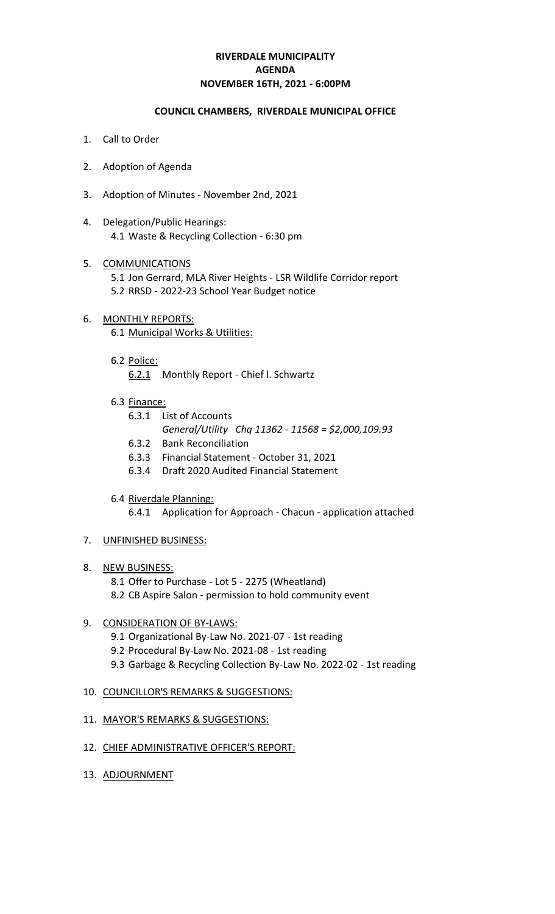# **RIVERDALE MUNICIPALITY NOVEMBER 16TH, 2021 - 6:00PM AGENDA**

### **COUNCIL CHAMBERS, RIVERDALE MUNICIPAL OFFICE**

- 1. Call to Order
- 2. Adoption of Agenda
- 3. Adoption of Minutes November 2nd, 2021
- 4. Delegation/Public Hearings: 4.1 Waste & Recycling Collection - 6:30 pm
- 5. COMMUNICATIONS 5.1 Jon Gerrard, MLA River Heights - LSR Wildlife Corridor report 5.2 RRSD - 2022-23 School Year Budget notice
- 6. MONTHLY REPORTS: 6.1 Municipal Works & Utilities:
	- 6.2 Police:
		- 6.2.1 Monthly Report Chief l. Schwartz
	- 6.3 Finance:
		- 6.3.1 List of Accounts *General/Utility Chq 11362 - 11568 = \$2,000,109.93*
		- 6.3.2 Bank Reconciliation
		- 6.3.3 Financial Statement October 31, 2021
		- 6.3.4 Draft 2020 Audited Financial Statement
	- 6.4 Riverdale Planning:
		- 6.4.1 Application for Approach Chacun application attached
- 7. UNFINISHED BUSINESS:
- 8. NEW BUSINESS:
	- 8.1 Offer to Purchase Lot 5 2275 (Wheatland) 8.2 CB Aspire Salon - permission to hold community event
- 9. CONSIDERATION OF BY-LAWS:
	- 9.1 Organizational By-Law No. 2021-07 1st reading
	- 9.2 Procedural By-Law No. 2021-08 1st reading
	- 9.3 Garbage & Recycling Collection By-Law No. 2022-02 1st reading
- 10. COUNCILLOR'S REMARKS & SUGGESTIONS:
- 11. MAYOR'S REMARKS & SUGGESTIONS:
- 12. CHIEF ADMINISTRATIVE OFFICER'S REPORT:
- 13. ADJOURNMENT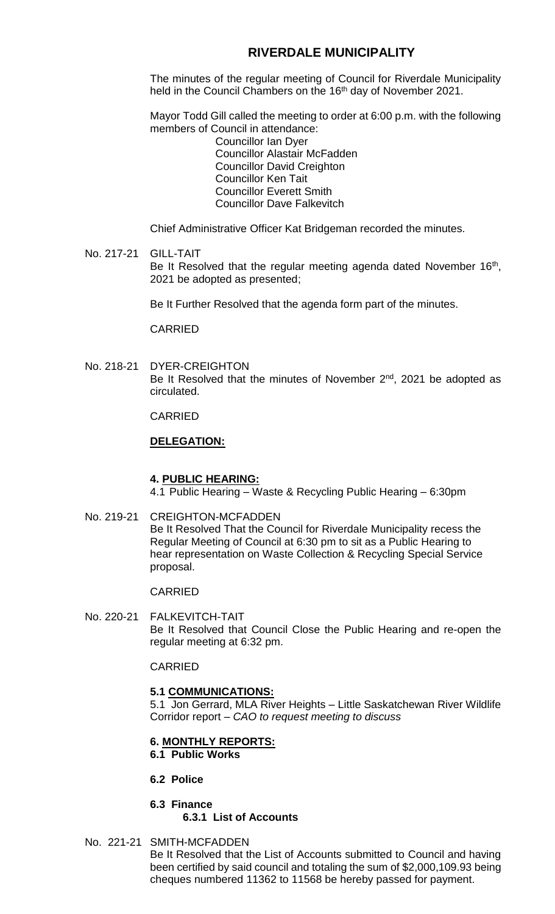# **RIVERDALE MUNICIPALITY**

The minutes of the regular meeting of Council for Riverdale Municipality held in the Council Chambers on the 16<sup>th</sup> day of November 2021.

Mayor Todd Gill called the meeting to order at 6:00 p.m. with the following members of Council in attendance:

Councillor Ian Dyer Councillor Alastair McFadden Councillor David Creighton Councillor Ken Tait Councillor Everett Smith Councillor Dave Falkevitch

Chief Administrative Officer Kat Bridgeman recorded the minutes.

#### No. 217-21 GILL-TAIT Be It Resolved that the regular meeting agenda dated November 16<sup>th</sup>, 2021 be adopted as presented;

Be It Further Resolved that the agenda form part of the minutes.

CARRIED

No. 218-21 DYER-CREIGHTON Be It Resolved that the minutes of November 2<sup>nd</sup>, 2021 be adopted as circulated.

CARRIED

# **DELEGATION:**

### **4. PUBLIC HEARING:**

4.1 Public Hearing – Waste & Recycling Public Hearing – 6:30pm

No. 219-21 CREIGHTON-MCFADDEN

Be It Resolved That the Council for Riverdale Municipality recess the Regular Meeting of Council at 6:30 pm to sit as a Public Hearing to hear representation on Waste Collection & Recycling Special Service proposal.

### CARRIED

No. 220-21 FALKEVITCH-TAIT Be It Resolved that Council Close the Public Hearing and re-open the regular meeting at 6:32 pm.

CARRIED

# **5.1 COMMUNICATIONS:**

5.1 Jon Gerrard, MLA River Heights – Little Saskatchewan River Wildlife Corridor report – *CAO to request meeting to discuss*

#### **6. MONTHLY REPORTS: 6.1 Public Works**

- **6.2 Police**
- **6.3 Finance 6.3.1 List of Accounts**
- No. 221-21 SMITH-MCFADDEN

Be It Resolved that the List of Accounts submitted to Council and having been certified by said council and totaling the sum of \$2,000,109.93 being cheques numbered 11362 to 11568 be hereby passed for payment.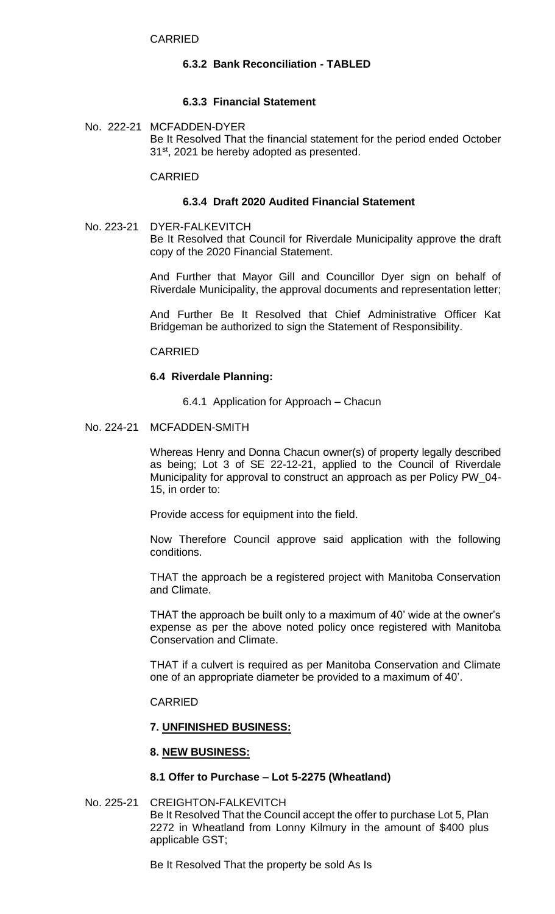# **6.3.2 Bank Reconciliation - TABLED**

# **6.3.3 Financial Statement**

No. 222-21 MCFADDEN-DYER Be It Resolved That the financial statement for the period ended October 31<sup>st</sup>, 2021 be hereby adopted as presented.

#### CARRIED

## **6.3.4 Draft 2020 Audited Financial Statement**

No. 223-21 DYER-FALKEVITCH Be It Resolved that Council for Riverdale Municipality approve the draft copy of the 2020 Financial Statement.

> And Further that Mayor Gill and Councillor Dyer sign on behalf of Riverdale Municipality, the approval documents and representation letter;

> And Further Be It Resolved that Chief Administrative Officer Kat Bridgeman be authorized to sign the Statement of Responsibility.

### CARRIED

### **6.4 Riverdale Planning:**

6.4.1 Application for Approach – Chacun

#### No. 224-21 MCFADDEN-SMITH

Whereas Henry and Donna Chacun owner(s) of property legally described as being; Lot 3 of SE 22-12-21, applied to the Council of Riverdale Municipality for approval to construct an approach as per Policy PW\_04- 15, in order to:

Provide access for equipment into the field.

Now Therefore Council approve said application with the following conditions.

THAT the approach be a registered project with Manitoba Conservation and Climate.

THAT the approach be built only to a maximum of 40' wide at the owner's expense as per the above noted policy once registered with Manitoba Conservation and Climate.

THAT if a culvert is required as per Manitoba Conservation and Climate one of an appropriate diameter be provided to a maximum of 40'.

#### CARRIED

## **7. UNFINISHED BUSINESS:**

### **8. NEW BUSINESS:**

#### **8.1 Offer to Purchase – Lot 5-2275 (Wheatland)**

## No. 225-21 CREIGHTON-FALKEVITCH

Be It Resolved That the Council accept the offer to purchase Lot 5, Plan 2272 in Wheatland from Lonny Kilmury in the amount of \$400 plus applicable GST;

Be It Resolved That the property be sold As Is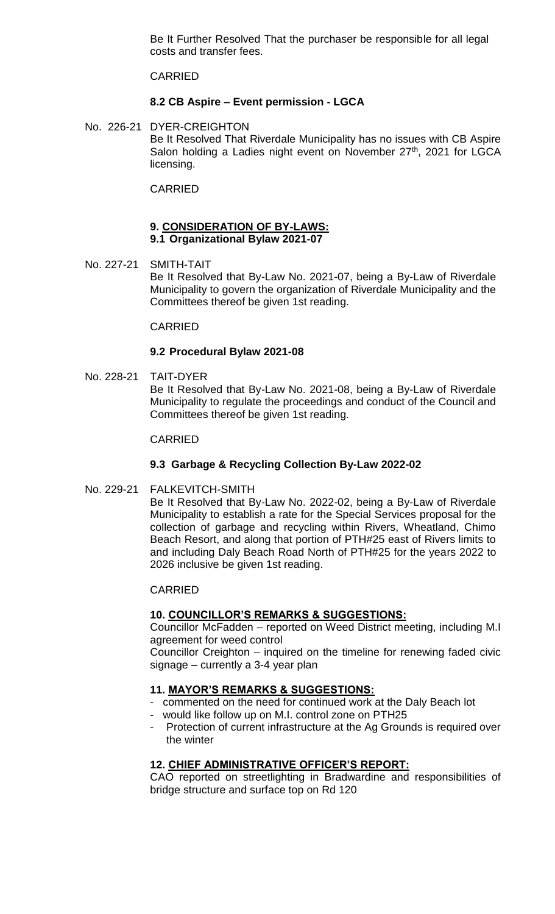Be It Further Resolved That the purchaser be responsible for all legal costs and transfer fees.

CARRIED

# **8.2 CB Aspire – Event permission - LGCA**

No. 226-21 DYER-CREIGHTON Be It Resolved That Riverdale Municipality has no issues with CB Aspire Salon holding a Ladies night event on November 27<sup>th</sup>, 2021 for LGCA licensing.

CARRIED

#### **9. CONSIDERATION OF BY-LAWS: 9.1 Organizational Bylaw 2021-07**

No. 227-21 SMITH-TAIT Be It Resolved that By-Law No. 2021-07, being a By-Law of Riverdale Municipality to govern the organization of Riverdale Municipality and the Committees thereof be given 1st reading.

# CARRIED

# **9.2 Procedural Bylaw 2021-08**

No. 228-21 TAIT-DYER Be It Resolved that By-Law No. 2021-08, being a By-Law of Riverdale Municipality to regulate the proceedings and conduct of the Council and Committees thereof be given 1st reading.

### CARRIED

# **9.3 Garbage & Recycling Collection By-Law 2022-02**

No. 229-21 FALKEVITCH-SMITH

Be It Resolved that By-Law No. 2022-02, being a By-Law of Riverdale Municipality to establish a rate for the Special Services proposal for the collection of garbage and recycling within Rivers, Wheatland, Chimo Beach Resort, and along that portion of PTH#25 east of Rivers limits to and including Daly Beach Road North of PTH#25 for the years 2022 to 2026 inclusive be given 1st reading.

### CARRIED

### **10. COUNCILLOR'S REMARKS & SUGGESTIONS:**

Councillor McFadden – reported on Weed District meeting, including M.I agreement for weed control

Councillor Creighton – inquired on the timeline for renewing faded civic signage – currently a 3-4 year plan

# **11. MAYOR'S REMARKS & SUGGESTIONS:**

- commented on the need for continued work at the Daly Beach lot
- would like follow up on M.I. control zone on PTH25
- Protection of current infrastructure at the Ag Grounds is required over the winter

# **12. CHIEF ADMINISTRATIVE OFFICER'S REPORT:**

CAO reported on streetlighting in Bradwardine and responsibilities of bridge structure and surface top on Rd 120